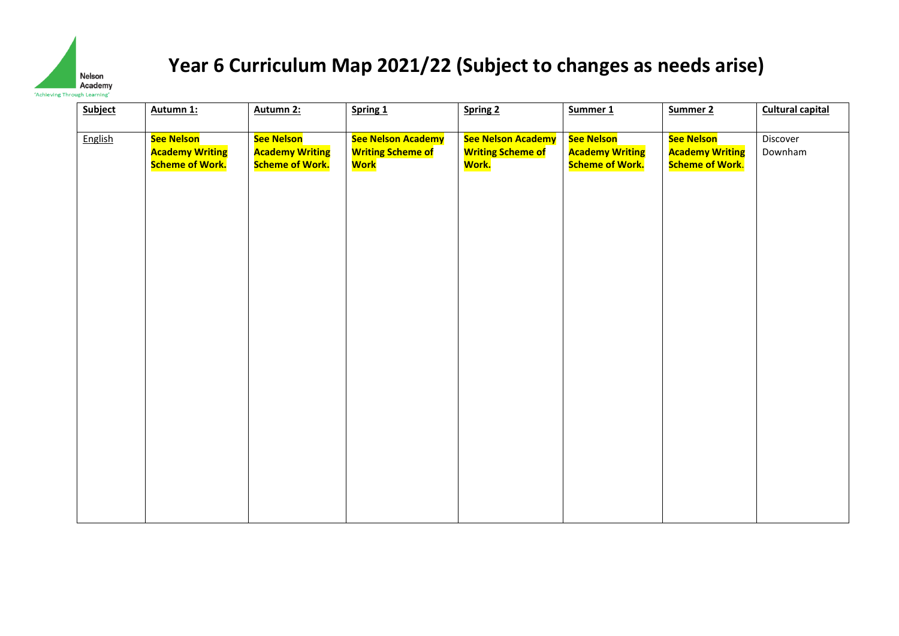

| <b>Subject</b> | Autumn 1:                                                             | Autumn 2:                                                      | Spring 1                                                                   | Spring 2                                                                    | Summer 1                                                              | Summer 2                                                       | <b>Cultural capital</b> |
|----------------|-----------------------------------------------------------------------|----------------------------------------------------------------|----------------------------------------------------------------------------|-----------------------------------------------------------------------------|-----------------------------------------------------------------------|----------------------------------------------------------------|-------------------------|
| English        | <b>See Nelson</b><br><b>Academy Writing</b><br><b>Scheme of Work.</b> | See Nelson<br><b>Academy Writing</b><br><b>Scheme of Work.</b> | <b>See Nelson Academy</b><br><b>Writing Scheme of</b><br><mark>Work</mark> | <b>See Nelson Academy</b><br><b>Writing Scheme of</b><br><mark>Work.</mark> | <b>See Nelson</b><br><b>Academy Writing</b><br><b>Scheme of Work.</b> | See Nelson<br><b>Academy Writing</b><br><b>Scheme of Work.</b> | Discover<br>Downham     |
|                |                                                                       |                                                                |                                                                            |                                                                             |                                                                       |                                                                |                         |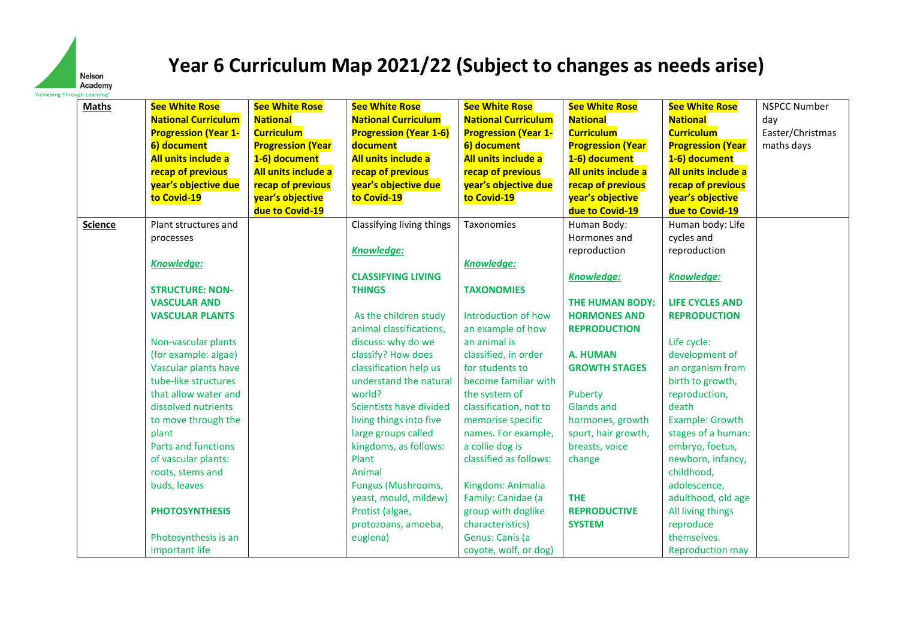

| <b>Maths</b>   | <b>See White Rose</b>       | <b>See White Rose</b>    | <b>See White Rose</b>         | <b>See White Rose</b>       | <b>See White Rose</b>    | <b>See White Rose</b>    | <b>NSPCC Number</b> |
|----------------|-----------------------------|--------------------------|-------------------------------|-----------------------------|--------------------------|--------------------------|---------------------|
|                | <b>National Curriculum</b>  | <b>National</b>          | <b>National Curriculum</b>    | <b>National Curriculum</b>  | <b>National</b>          | <b>National</b>          | day                 |
|                | <b>Progression (Year 1-</b> | <b>Curriculum</b>        | <b>Progression (Year 1-6)</b> | <b>Progression (Year 1-</b> | <b>Curriculum</b>        | <b>Curriculum</b>        | Easter/Christmas    |
|                | 6) document                 | <b>Progression (Year</b> | document                      | 6) document                 | <b>Progression (Year</b> | <b>Progression (Year</b> | maths days          |
|                | All units include a         | 1-6) document            | All units include a           | All units include a         | 1-6) document            | 1-6) document            |                     |
|                | recap of previous           | All units include a      | recap of previous             | recap of previous           | All units include a      | All units include a      |                     |
|                | year's objective due        | recap of previous        | year's objective due          | year's objective due        | recap of previous        | recap of previous        |                     |
|                | to Covid-19                 | year's objective         | to Covid-19                   | to Covid-19                 | year's objective         | year's objective         |                     |
|                |                             | due to Covid-19          |                               |                             | due to Covid-19          | due to Covid-19          |                     |
| <b>Science</b> | Plant structures and        |                          | Classifying living things     | Taxonomies                  | Human Body:              | Human body: Life         |                     |
|                | processes                   |                          |                               |                             | Hormones and             | cycles and               |                     |
|                |                             |                          | <b>Knowledge:</b>             |                             | reproduction             | reproduction             |                     |
|                | <b>Knowledge:</b>           |                          |                               | <b>Knowledge:</b>           |                          |                          |                     |
|                |                             |                          | <b>CLASSIFYING LIVING</b>     |                             | Knowledge:               | <b>Knowledge:</b>        |                     |
|                | <b>STRUCTURE: NON-</b>      |                          | <b>THINGS</b>                 | <b>TAXONOMIES</b>           |                          |                          |                     |
|                | <b>VASCULAR AND</b>         |                          |                               |                             | <b>THE HUMAN BODY:</b>   | <b>LIFE CYCLES AND</b>   |                     |
|                | <b>VASCULAR PLANTS</b>      |                          | As the children study         | Introduction of how         | <b>HORMONES AND</b>      | <b>REPRODUCTION</b>      |                     |
|                |                             |                          | animal classifications,       | an example of how           | <b>REPRODUCTION</b>      |                          |                     |
|                | Non-vascular plants         |                          | discuss: why do we            | an animal is                |                          | Life cycle:              |                     |
|                | (for example: algae)        |                          | classify? How does            | classified, in order        | A. HUMAN                 | development of           |                     |
|                | Vascular plants have        |                          | classification help us        | for students to             | <b>GROWTH STAGES</b>     | an organism from         |                     |
|                | tube-like structures        |                          | understand the natural        | become familiar with        |                          | birth to growth,         |                     |
|                | that allow water and        |                          | world?                        | the system of               | Puberty                  | reproduction,            |                     |
|                | dissolved nutrients         |                          | Scientists have divided       | classification, not to      | <b>Glands and</b>        | death                    |                     |
|                | to move through the         |                          | living things into five       | memorise specific           | hormones, growth         | Example: Growth          |                     |
|                | plant                       |                          | large groups called           | names. For example,         | spurt, hair growth,      | stages of a human:       |                     |
|                | Parts and functions         |                          | kingdoms, as follows:         | a collie dog is             | breasts, voice           | embryo, foetus,          |                     |
|                | of vascular plants:         |                          | Plant                         | classified as follows:      | change                   | newborn, infancy,        |                     |
|                | roots, stems and            |                          | Animal                        |                             |                          | childhood,               |                     |
|                | buds, leaves                |                          | Fungus (Mushrooms,            | Kingdom: Animalia           |                          | adolescence,             |                     |
|                |                             |                          | yeast, mould, mildew)         | Family: Canidae (a          | <b>THE</b>               | adulthood, old age       |                     |
|                | <b>PHOTOSYNTHESIS</b>       |                          | Protist (algae,               | group with doglike          | <b>REPRODUCTIVE</b>      | All living things        |                     |
|                |                             |                          | protozoans, amoeba,           | characteristics)            | <b>SYSTEM</b>            | reproduce                |                     |
|                | Photosynthesis is an        |                          | euglena)                      | Genus: Canis (a             |                          | themselves.              |                     |
|                | important life              |                          |                               | coyote, wolf, or dog)       |                          | <b>Reproduction may</b>  |                     |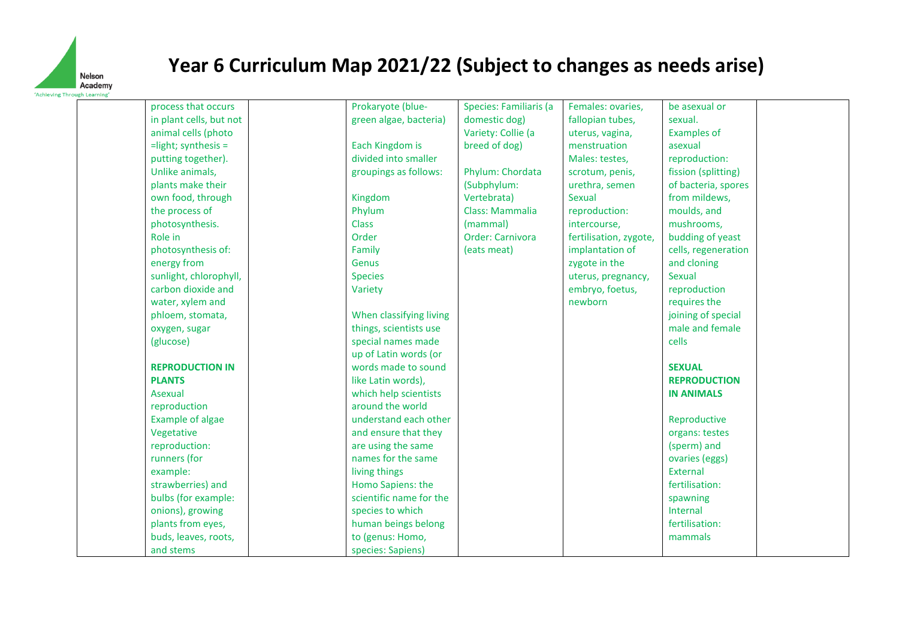

process that occurs in plant cells, but not animal cells (photo =light; synthesis = putting together). Unlike animals, plants make their own food, through the process of photosynthesis. Role in photosynthesis of: energy from sunlight, chlorophyll, carbon dioxide and water, xylem and phloem, stomata, oxygen, sugar (glucose) **REPRODUCTION IN PLANTS** Asexual reproduction Example of algae Vegetative reproduction: runners (for example: strawberries) and bulbs (for example: onions), growing plants from eyes, buds, leaves, roots, and stems Prokaryote (bluegreen algae, bacteria) Each Kingdom is divided into smaller groupings as follows: Kingdom Phylum Class Order Family Genus Species Variety When classifying living things, scientists use special names made up of Latin words (or words made to sound like Latin words), which help scientists around the world understand each other and ensure that they are using the same names for the same living things Homo Sapiens: the scientific name for the species to which human beings belong to (genus: Homo, species: Sapiens) Species: Familiaris (a domestic dog) Variety: Collie (a breed of dog) Phylum: Chordata (Subphylum: Vertebrata) Class: Mammalia (mammal) Order: Carnivora (eats meat) Females: ovaries, fallopian tubes, uterus, vagina, menstruation Males: testes, scrotum, penis, urethra, semen Sexual reproduction: intercourse, fertilisation, zygote, implantation of zygote in the uterus, pregnancy, embryo, foetus, newborn be asexual or sexual. Examples of asexual reproduction: fission (splitting) of bacteria, spores from mildews, moulds, and mushrooms, budding of yeast cells, regeneration and cloning Sexual reproduction requires the joining of special male and female cells **SEXUAL REPRODUCTION IN ANIMALS** Reproductive organs: testes (sperm) and ovaries (eggs) External fertilisation: spawning Internal fertilisation: mammals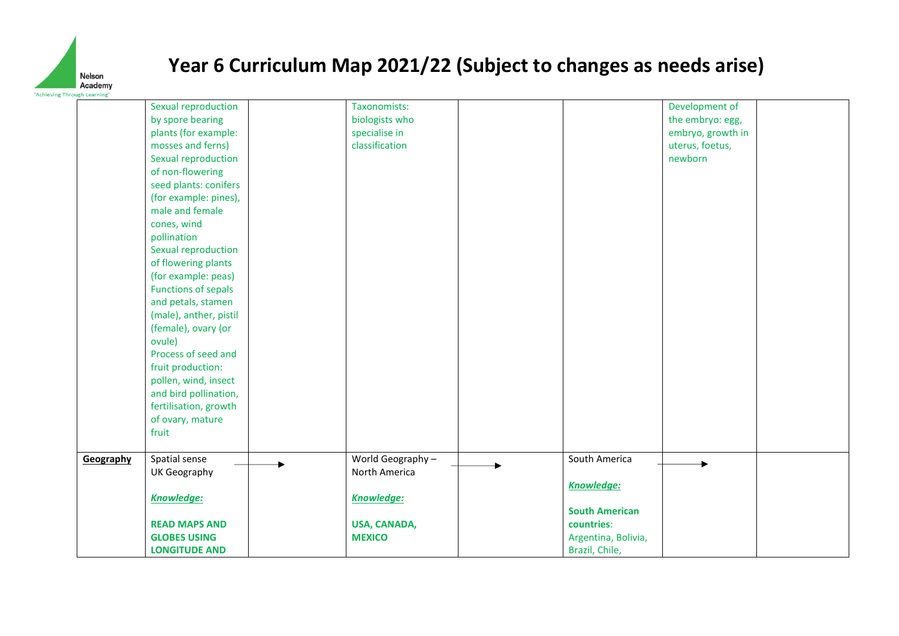

|           | Sexual reproduction                      | Taxonomists:      |                       | Development of    |
|-----------|------------------------------------------|-------------------|-----------------------|-------------------|
|           | by spore bearing                         | biologists who    |                       | the embryo: egg,  |
|           | plants (for example:                     | specialise in     |                       | embryo, growth in |
|           | mosses and ferns)                        | classification    |                       | uterus, foetus,   |
|           | Sexual reproduction                      |                   |                       | newborn           |
|           | of non-flowering                         |                   |                       |                   |
|           |                                          |                   |                       |                   |
|           | seed plants: conifers                    |                   |                       |                   |
|           | (for example: pines),<br>male and female |                   |                       |                   |
|           |                                          |                   |                       |                   |
|           | cones, wind                              |                   |                       |                   |
|           | pollination                              |                   |                       |                   |
|           | Sexual reproduction                      |                   |                       |                   |
|           | of flowering plants                      |                   |                       |                   |
|           | (for example: peas)                      |                   |                       |                   |
|           | <b>Functions of sepals</b>               |                   |                       |                   |
|           | and petals, stamen                       |                   |                       |                   |
|           | (male), anther, pistil                   |                   |                       |                   |
|           | (female), ovary (or                      |                   |                       |                   |
|           | ovule)                                   |                   |                       |                   |
|           | Process of seed and                      |                   |                       |                   |
|           | fruit production:                        |                   |                       |                   |
|           | pollen, wind, insect                     |                   |                       |                   |
|           | and bird pollination,                    |                   |                       |                   |
|           | fertilisation, growth                    |                   |                       |                   |
|           | of ovary, mature                         |                   |                       |                   |
|           | fruit                                    |                   |                       |                   |
|           |                                          |                   |                       |                   |
| Geography | Spatial sense                            | World Geography - | South America         |                   |
|           | UK Geography                             | North America     |                       |                   |
|           |                                          |                   | <b>Knowledge:</b>     |                   |
|           | <b>Knowledge:</b>                        | <b>Knowledge:</b> |                       |                   |
|           |                                          |                   | <b>South American</b> |                   |
|           | <b>READ MAPS AND</b>                     | USA, CANADA,      | countries:            |                   |
|           | <b>GLOBES USING</b>                      | <b>MEXICO</b>     | Argentina, Bolivia,   |                   |
|           | <b>LONGITUDE AND</b>                     |                   | Brazil, Chile,        |                   |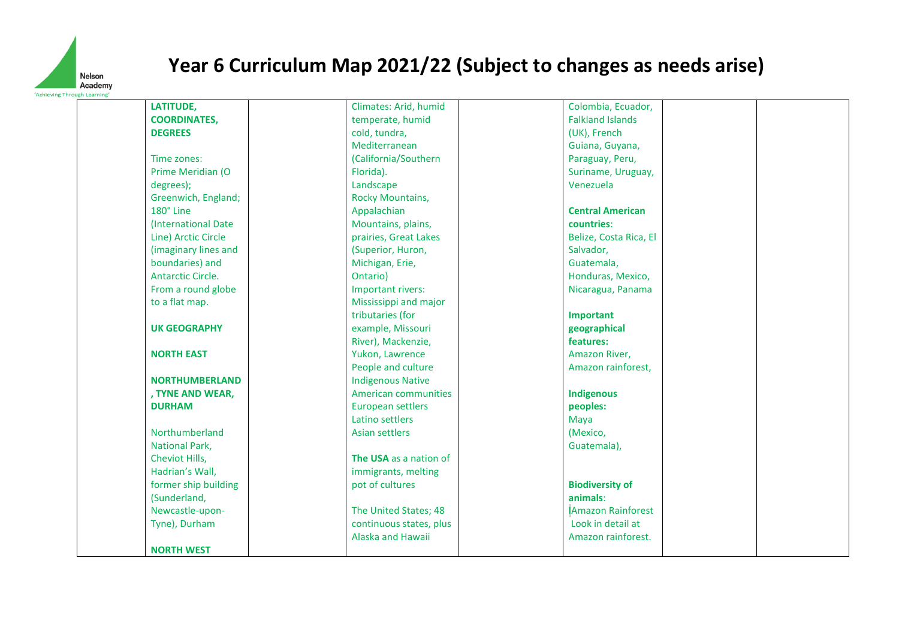

| LATITUDE,                | Climates: Arid, humid    | Colombia, Ecuador,        |  |
|--------------------------|--------------------------|---------------------------|--|
| <b>COORDINATES,</b>      | temperate, humid         | <b>Falkland Islands</b>   |  |
| <b>DEGREES</b>           | cold, tundra,            | (UK), French              |  |
|                          | Mediterranean            | Guiana, Guyana,           |  |
| Time zones:              | (California/Southern     | Paraguay, Peru,           |  |
| Prime Meridian (O        | Florida).                | Suriname, Uruguay,        |  |
| degrees);                | Landscape                | Venezuela                 |  |
| Greenwich, England;      | <b>Rocky Mountains,</b>  |                           |  |
| 180° Line                | Appalachian              | <b>Central American</b>   |  |
| (International Date)     | Mountains, plains,       | countries:                |  |
| Line) Arctic Circle      | prairies, Great Lakes    | Belize, Costa Rica, El    |  |
| (imaginary lines and     | (Superior, Huron,        | Salvador,                 |  |
| boundaries) and          | Michigan, Erie,          | Guatemala,                |  |
| <b>Antarctic Circle.</b> | Ontario)                 | Honduras, Mexico,         |  |
| From a round globe       | Important rivers:        | Nicaragua, Panama         |  |
| to a flat map.           | Mississippi and major    |                           |  |
|                          | tributaries (for         | Important                 |  |
| <b>UK GEOGRAPHY</b>      | example, Missouri        | geographical              |  |
|                          | River), Mackenzie,       | features:                 |  |
| <b>NORTH EAST</b>        | Yukon, Lawrence          | Amazon River,             |  |
|                          | People and culture       | Amazon rainforest,        |  |
| <b>NORTHUMBERLAND</b>    | <b>Indigenous Native</b> |                           |  |
| , TYNE AND WEAR,         | American communities     | <b>Indigenous</b>         |  |
| <b>DURHAM</b>            | <b>European settlers</b> | peoples:                  |  |
|                          | Latino settlers          | Maya                      |  |
| Northumberland           | <b>Asian settlers</b>    | (Mexico,                  |  |
| <b>National Park,</b>    |                          | Guatemala),               |  |
| Cheviot Hills,           | The USA as a nation of   |                           |  |
| Hadrian's Wall,          | immigrants, melting      |                           |  |
| former ship building     | pot of cultures          | <b>Biodiversity of</b>    |  |
| (Sunderland,             |                          | animals:                  |  |
| Newcastle-upon-          | The United States; 48    | <b>IAmazon Rainforest</b> |  |
| Tyne), Durham            | continuous states, plus  | Look in detail at         |  |
|                          | Alaska and Hawaii        | Amazon rainforest.        |  |
| <b>NORTH WEST</b>        |                          |                           |  |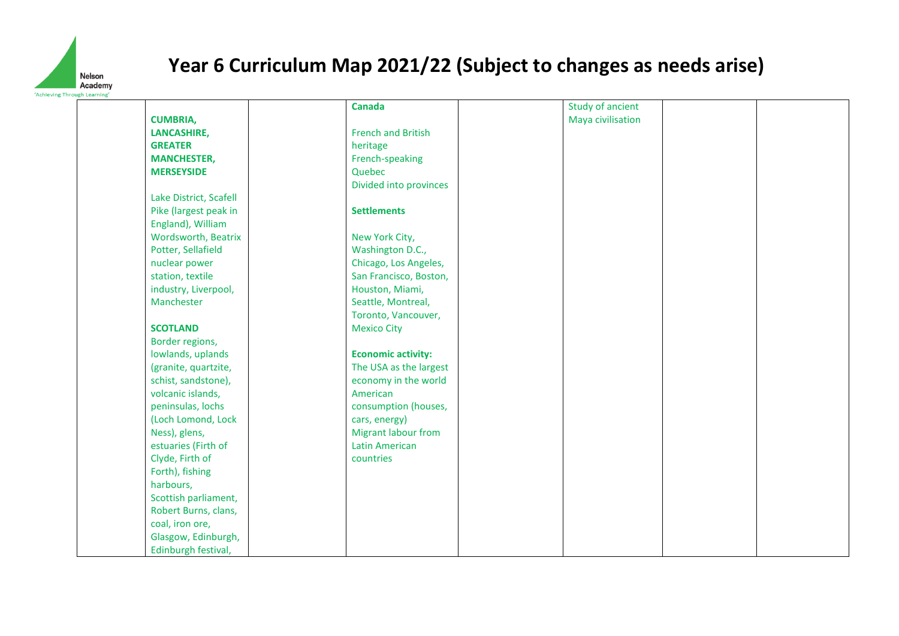

| ieving Through Learning' |                        |                            |                   |  |
|--------------------------|------------------------|----------------------------|-------------------|--|
|                          |                        | <b>Canada</b>              | Study of ancient  |  |
|                          | <b>CUMBRIA,</b>        |                            | Maya civilisation |  |
|                          | <b>LANCASHIRE,</b>     | <b>French and British</b>  |                   |  |
|                          | <b>GREATER</b>         | heritage                   |                   |  |
|                          | <b>MANCHESTER,</b>     | French-speaking            |                   |  |
|                          | <b>MERSEYSIDE</b>      | Quebec                     |                   |  |
|                          |                        | Divided into provinces     |                   |  |
|                          | Lake District, Scafell |                            |                   |  |
|                          | Pike (largest peak in  | <b>Settlements</b>         |                   |  |
|                          | England), William      |                            |                   |  |
|                          | Wordsworth, Beatrix    | New York City,             |                   |  |
|                          | Potter, Sellafield     | Washington D.C.,           |                   |  |
|                          | nuclear power          | Chicago, Los Angeles,      |                   |  |
|                          | station, textile       | San Francisco, Boston,     |                   |  |
|                          | industry, Liverpool,   | Houston, Miami,            |                   |  |
|                          | Manchester             | Seattle, Montreal,         |                   |  |
|                          |                        | Toronto, Vancouver,        |                   |  |
|                          | <b>SCOTLAND</b>        | <b>Mexico City</b>         |                   |  |
|                          | Border regions,        |                            |                   |  |
|                          | lowlands, uplands      | <b>Economic activity:</b>  |                   |  |
|                          | (granite, quartzite,   | The USA as the largest     |                   |  |
|                          | schist, sandstone),    | economy in the world       |                   |  |
|                          | volcanic islands,      | American                   |                   |  |
|                          | peninsulas, lochs      | consumption (houses,       |                   |  |
|                          | (Loch Lomond, Lock     | cars, energy)              |                   |  |
|                          | Ness), glens,          | <b>Migrant labour from</b> |                   |  |
|                          | estuaries (Firth of    | <b>Latin American</b>      |                   |  |
|                          | Clyde, Firth of        | countries                  |                   |  |
|                          | Forth), fishing        |                            |                   |  |
|                          | harbours,              |                            |                   |  |
|                          | Scottish parliament,   |                            |                   |  |
|                          | Robert Burns, clans,   |                            |                   |  |
|                          | coal, iron ore,        |                            |                   |  |
|                          | Glasgow, Edinburgh,    |                            |                   |  |
|                          | Edinburgh festival,    |                            |                   |  |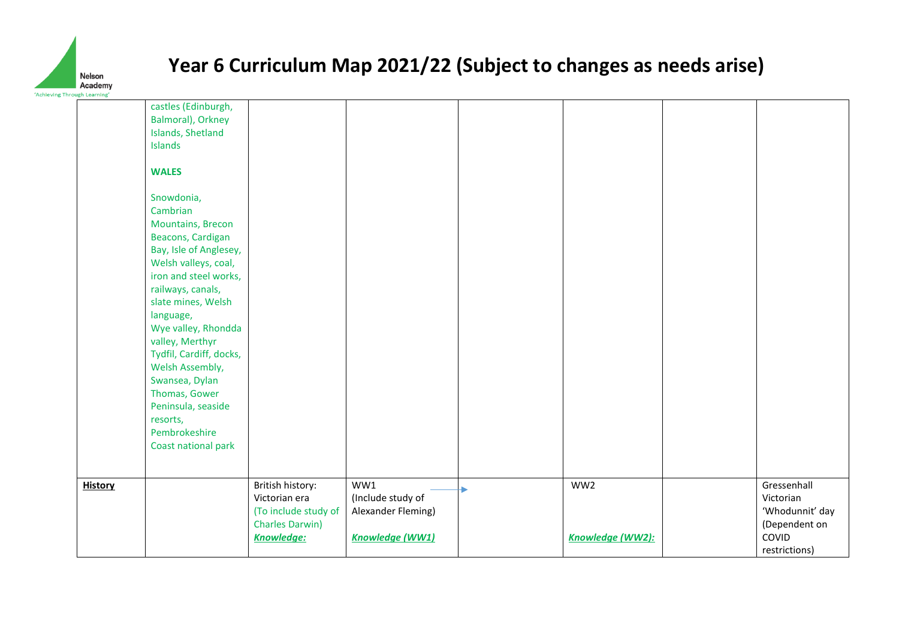

| <b>Inrough Learning</b> |                                          |                        |                    |                  |                 |
|-------------------------|------------------------------------------|------------------------|--------------------|------------------|-----------------|
|                         | castles (Edinburgh,<br>Balmoral), Orkney |                        |                    |                  |                 |
|                         | Islands, Shetland                        |                        |                    |                  |                 |
|                         | Islands                                  |                        |                    |                  |                 |
|                         |                                          |                        |                    |                  |                 |
|                         | <b>WALES</b>                             |                        |                    |                  |                 |
|                         |                                          |                        |                    |                  |                 |
|                         | Snowdonia,                               |                        |                    |                  |                 |
|                         | Cambrian                                 |                        |                    |                  |                 |
|                         | <b>Mountains, Brecon</b>                 |                        |                    |                  |                 |
|                         | Beacons, Cardigan                        |                        |                    |                  |                 |
|                         | Bay, Isle of Anglesey,                   |                        |                    |                  |                 |
|                         | Welsh valleys, coal,                     |                        |                    |                  |                 |
|                         | iron and steel works,                    |                        |                    |                  |                 |
|                         | railways, canals,                        |                        |                    |                  |                 |
|                         | slate mines, Welsh                       |                        |                    |                  |                 |
|                         | language,                                |                        |                    |                  |                 |
|                         | Wye valley, Rhondda<br>valley, Merthyr   |                        |                    |                  |                 |
|                         | Tydfil, Cardiff, docks,                  |                        |                    |                  |                 |
|                         | Welsh Assembly,                          |                        |                    |                  |                 |
|                         | Swansea, Dylan                           |                        |                    |                  |                 |
|                         | Thomas, Gower                            |                        |                    |                  |                 |
|                         | Peninsula, seaside                       |                        |                    |                  |                 |
|                         | resorts,                                 |                        |                    |                  |                 |
|                         | Pembrokeshire                            |                        |                    |                  |                 |
|                         | Coast national park                      |                        |                    |                  |                 |
|                         |                                          |                        |                    |                  |                 |
|                         |                                          |                        |                    |                  |                 |
| <b>History</b>          |                                          | British history:       | WW1                | WW2              | Gressenhall     |
|                         |                                          | Victorian era          | (Include study of  |                  | Victorian       |
|                         |                                          | (To include study of   | Alexander Fleming) |                  | 'Whodunnit' day |
|                         |                                          | <b>Charles Darwin)</b> |                    |                  | (Dependent on   |
|                         |                                          | <b>Knowledge:</b>      | Knowledge (WW1)    | Knowledge (WW2): | COVID           |
|                         |                                          |                        |                    |                  | restrictions)   |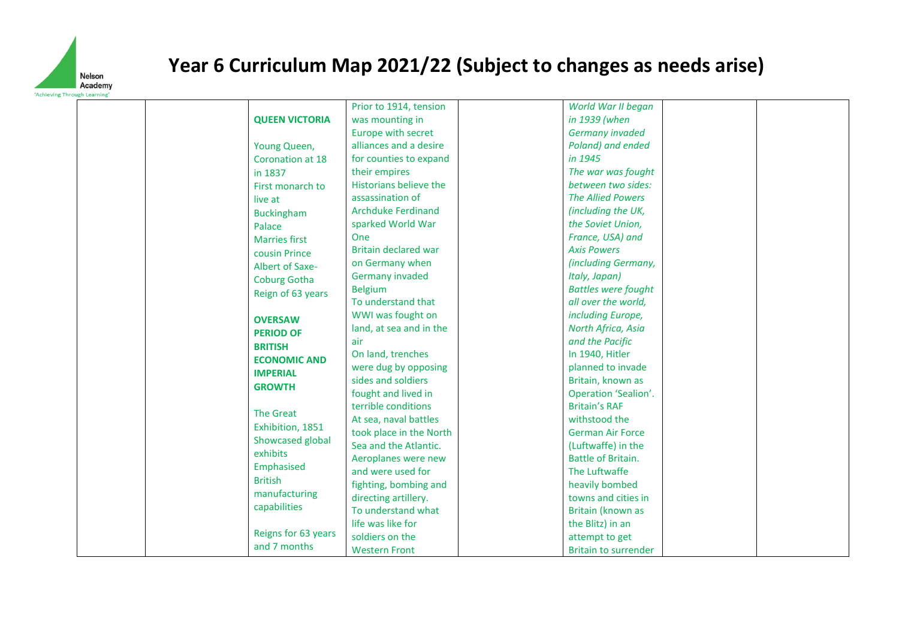

|                       | Prior to 1914, tension      | World War II began          |  |
|-----------------------|-----------------------------|-----------------------------|--|
| <b>QUEEN VICTORIA</b> | was mounting in             | in 1939 (when               |  |
|                       |                             |                             |  |
|                       | Europe with secret          | <b>Germany invaded</b>      |  |
| Young Queen,          | alliances and a desire      | Poland) and ended           |  |
| Coronation at 18      | for counties to expand      | in 1945                     |  |
| in 1837               | their empires               | The war was fought          |  |
| First monarch to      | Historians believe the      | between two sides:          |  |
| live at               | assassination of            | <b>The Allied Powers</b>    |  |
| <b>Buckingham</b>     | <b>Archduke Ferdinand</b>   | (including the UK,          |  |
| Palace                | sparked World War           | the Soviet Union,           |  |
| <b>Marries first</b>  | One                         | France, USA) and            |  |
| cousin Prince         | <b>Britain declared war</b> | <b>Axis Powers</b>          |  |
| Albert of Saxe-       | on Germany when             | (including Germany,         |  |
| <b>Coburg Gotha</b>   | <b>Germany invaded</b>      | Italy, Japan)               |  |
| Reign of 63 years     | <b>Belgium</b>              | <b>Battles were fought</b>  |  |
|                       | To understand that          | all over the world,         |  |
|                       | WWI was fought on           | including Europe,           |  |
| <b>OVERSAW</b>        | land, at sea and in the     | North Africa, Asia          |  |
| <b>PERIOD OF</b>      | air                         | and the Pacific             |  |
| <b>BRITISH</b>        | On land, trenches           | In 1940, Hitler             |  |
| <b>ECONOMIC AND</b>   | were dug by opposing        | planned to invade           |  |
| <b>IMPERIAL</b>       | sides and soldiers          | Britain, known as           |  |
| <b>GROWTH</b>         | fought and lived in         | Operation 'Sealion'.        |  |
|                       | terrible conditions         | <b>Britain's RAF</b>        |  |
| <b>The Great</b>      | At sea, naval battles       | withstood the               |  |
| Exhibition, 1851      | took place in the North     | <b>German Air Force</b>     |  |
| Showcased global      | Sea and the Atlantic.       | (Luftwaffe) in the          |  |
| exhibits              | Aeroplanes were new         | <b>Battle of Britain.</b>   |  |
| Emphasised            | and were used for           | The Luftwaffe               |  |
| <b>British</b>        |                             |                             |  |
| manufacturing         | fighting, bombing and       | heavily bombed              |  |
| capabilities          | directing artillery.        | towns and cities in         |  |
|                       | To understand what          | Britain (known as           |  |
| Reigns for 63 years   | life was like for           | the Blitz) in an            |  |
| and 7 months          | soldiers on the             | attempt to get              |  |
|                       | <b>Western Front</b>        | <b>Britain to surrender</b> |  |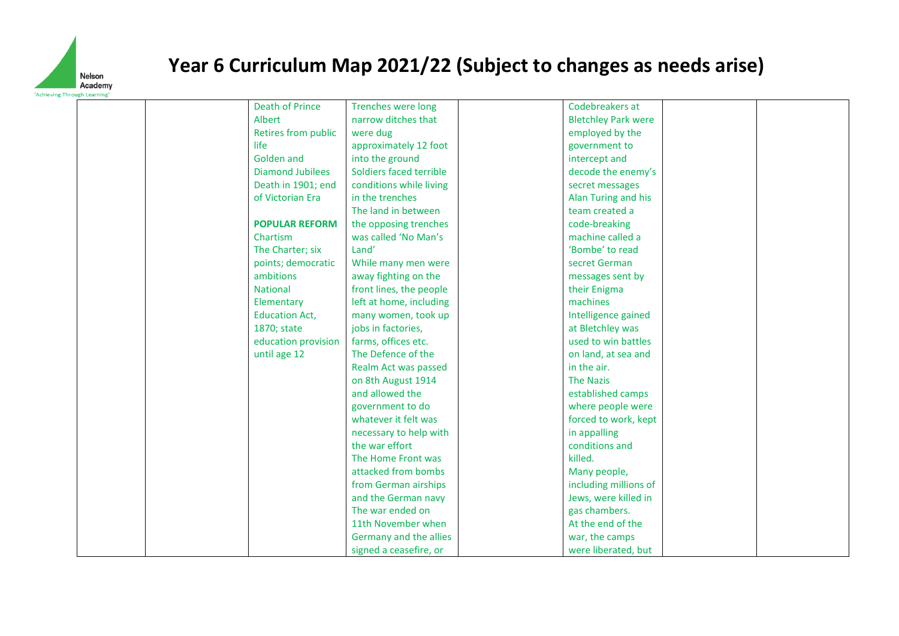

| eving Through Learnin   |                         |                            |  |
|-------------------------|-------------------------|----------------------------|--|
| <b>Death of Prince</b>  | Trenches were long      | Codebreakers at            |  |
| Albert                  | narrow ditches that     | <b>Bletchley Park were</b> |  |
| Retires from public     | were dug                | employed by the            |  |
| life                    | approximately 12 foot   | government to              |  |
| <b>Golden and</b>       | into the ground         | intercept and              |  |
| <b>Diamond Jubilees</b> | Soldiers faced terrible | decode the enemy's         |  |
| Death in 1901; end      | conditions while living | secret messages            |  |
| of Victorian Era        | in the trenches         | Alan Turing and his        |  |
|                         | The land in between     | team created a             |  |
| <b>POPULAR REFORM</b>   | the opposing trenches   | code-breaking              |  |
| Chartism                | was called 'No Man's    | machine called a           |  |
| The Charter; six        | Land'                   | 'Bombe' to read            |  |
| points; democratic      | While many men were     | secret German              |  |
| ambitions               | away fighting on the    | messages sent by           |  |
| National                | front lines, the people | their Enigma               |  |
| Elementary              | left at home, including | machines                   |  |
| <b>Education Act,</b>   | many women, took up     | Intelligence gained        |  |
| 1870; state             | jobs in factories,      | at Bletchley was           |  |
| education provision     | farms, offices etc.     | used to win battles        |  |
| until age 12            | The Defence of the      | on land, at sea and        |  |
|                         | Realm Act was passed    | in the air.                |  |
|                         | on 8th August 1914      | <b>The Nazis</b>           |  |
|                         | and allowed the         | established camps          |  |
|                         | government to do        | where people were          |  |
|                         | whatever it felt was    | forced to work, kept       |  |
|                         | necessary to help with  | in appalling               |  |
|                         | the war effort          | conditions and             |  |
|                         | The Home Front was      | killed.                    |  |
|                         | attacked from bombs     | Many people,               |  |
|                         | from German airships    | including millions of      |  |
|                         | and the German navy     | Jews, were killed in       |  |
|                         | The war ended on        | gas chambers.              |  |
|                         | 11th November when      | At the end of the          |  |
|                         | Germany and the allies  | war, the camps             |  |
|                         | signed a ceasefire, or  | were liberated, but        |  |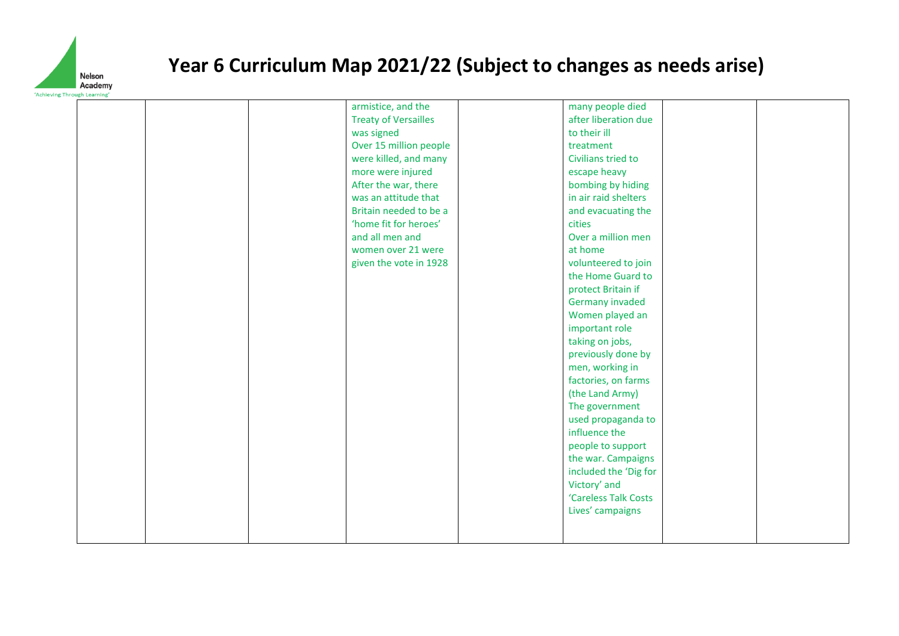

| ving Through Learning |  |                                                                                                                                                                 |                                                                                                                                  |  |
|-----------------------|--|-----------------------------------------------------------------------------------------------------------------------------------------------------------------|----------------------------------------------------------------------------------------------------------------------------------|--|
|                       |  | armistice, and the<br><b>Treaty of Versailles</b><br>was signed<br>Over 15 million people<br>were killed, and many<br>more were injured<br>After the war, there | many people died<br>after liberation due<br>to their ill<br>treatment<br>Civilians tried to<br>escape heavy<br>bombing by hiding |  |
|                       |  | was an attitude that<br>Britain needed to be a<br>'home fit for heroes'<br>and all men and                                                                      | in air raid shelters<br>and evacuating the<br>cities<br>Over a million men                                                       |  |
|                       |  | women over 21 were<br>given the vote in 1928                                                                                                                    | at home<br>volunteered to join<br>the Home Guard to                                                                              |  |
|                       |  |                                                                                                                                                                 | protect Britain if<br>Germany invaded<br>Women played an                                                                         |  |
|                       |  |                                                                                                                                                                 | important role<br>taking on jobs,<br>previously done by                                                                          |  |
|                       |  |                                                                                                                                                                 | men, working in<br>factories, on farms<br>(the Land Army)                                                                        |  |
|                       |  |                                                                                                                                                                 | The government<br>used propaganda to<br>influence the                                                                            |  |
|                       |  |                                                                                                                                                                 | people to support<br>the war. Campaigns<br>included the 'Dig for                                                                 |  |
|                       |  |                                                                                                                                                                 | Victory' and<br>'Careless Talk Costs<br>Lives' campaigns                                                                         |  |
|                       |  |                                                                                                                                                                 |                                                                                                                                  |  |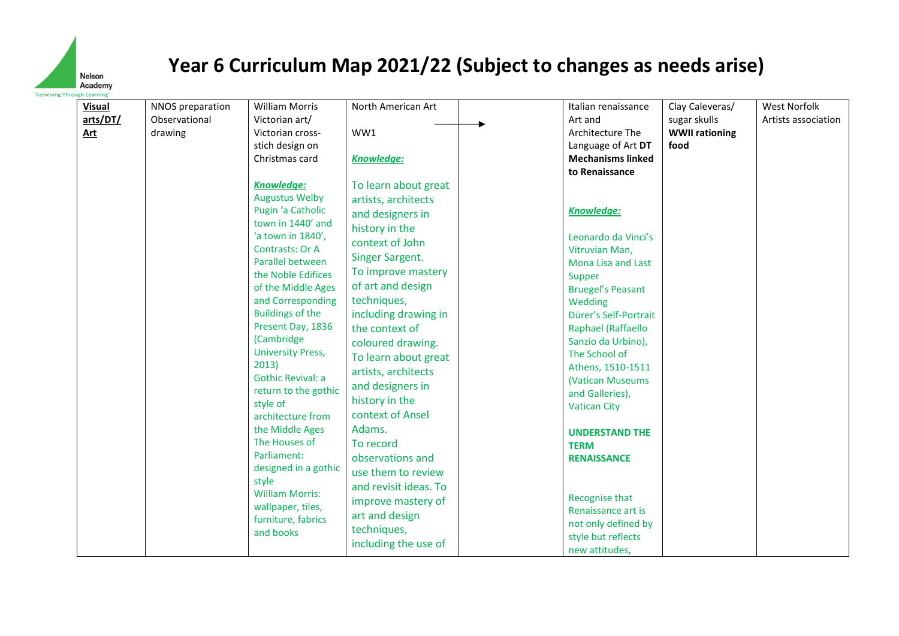

**Visual arts/DT/ Art** NNOS preparation Observational drawing William Morris Victorian art/ Victorian crossstich design on Christmas card *Knowledge:* Augustus Welby Pugin 'a Catholic town in 1440' and 'a town in 1840', Contrasts: Or A Parallel between the Noble Edifices of the Middle Ages and Corresponding Buildings of the Present Day, 1836 (Cambridge University Press, 2013) Gothic Revival: a return to the gothic style of architecture from the Middle Ages The Houses of Parliament: designed in a gothic style William Morris: wallpaper, tiles, furniture, fabrics and books North American Art WW1 *Knowledge:* To learn about great artists, architects and designers in history in the context of John Singer Sargent. To improve mastery of art and design techniques, including drawing in the context of coloured drawing. To learn about great artists, architects and designers in history in the context of Ansel Adams. To record observations and use them to review and revisit ideas. To improve mastery of art and design techniques, including the use of Italian renaissance Art and Architecture The Language of Art **DT Mechanisms linked to Renaissance** *Knowledge:* Leonardo da Vinci's Vitruvian Man, Mona Lisa and Last Supper Bruegel's Peasant Wedding Dürer's Self-Portrait Raphael (Raffaello Sanzio da Urbino), The School of Athens, 1510-1511 (Vatican Museums and Galleries), Vatican City **UNDERSTAND THE TERM RENAISSANCE** Recognise that Renaissance art is not only defined by style but reflects new attitudes, Clay Caleveras/ sugar skulls **WWII rationing food** West Norfolk Artists association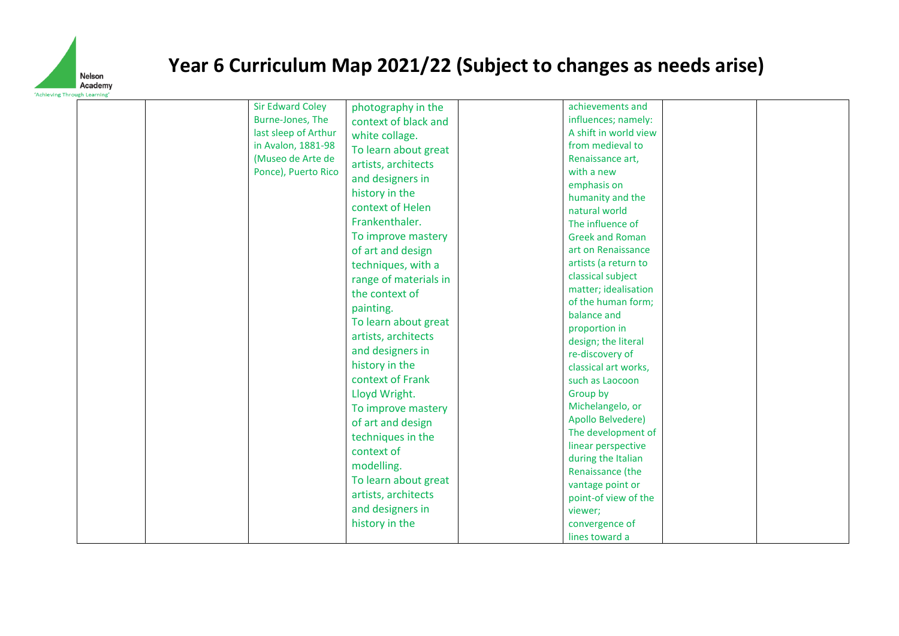

| last sleep of Arthur                                           |                                                                                                                                                                                                                                                                                                                                                                                                                                                                                                                  |                                                                                                                                                                                                                                                                                                                                                                                                                                                                                                                                                                                    |  |
|----------------------------------------------------------------|------------------------------------------------------------------------------------------------------------------------------------------------------------------------------------------------------------------------------------------------------------------------------------------------------------------------------------------------------------------------------------------------------------------------------------------------------------------------------------------------------------------|------------------------------------------------------------------------------------------------------------------------------------------------------------------------------------------------------------------------------------------------------------------------------------------------------------------------------------------------------------------------------------------------------------------------------------------------------------------------------------------------------------------------------------------------------------------------------------|--|
| in Avalon, 1881-98<br>(Museo de Arte de<br>Ponce), Puerto Rico | white collage.<br>To learn about great<br>artists, architects<br>and designers in<br>history in the<br>context of Helen<br>Frankenthaler.<br>To improve mastery<br>of art and design<br>techniques, with a<br>range of materials in<br>the context of<br>painting.<br>To learn about great<br>artists, architects<br>and designers in<br>history in the<br>context of Frank<br>Lloyd Wright.<br>To improve mastery<br>of art and design<br>techniques in the<br>context of<br>modelling.<br>To learn about great | A shift in world view<br>from medieval to<br>Renaissance art,<br>with a new<br>emphasis on<br>humanity and the<br>natural world<br>The influence of<br><b>Greek and Roman</b><br>art on Renaissance<br>artists (a return to<br>classical subject<br>matter; idealisation<br>of the human form;<br>balance and<br>proportion in<br>design; the literal<br>re-discovery of<br>classical art works,<br>such as Laocoon<br>Group by<br>Michelangelo, or<br>Apollo Belvedere)<br>The development of<br>linear perspective<br>during the Italian<br>Renaissance (the<br>vantage point or |  |
|                                                                | artists, architects<br>and designers in<br>history in the                                                                                                                                                                                                                                                                                                                                                                                                                                                        | point-of view of the<br>viewer;<br>convergence of<br>lines toward a                                                                                                                                                                                                                                                                                                                                                                                                                                                                                                                |  |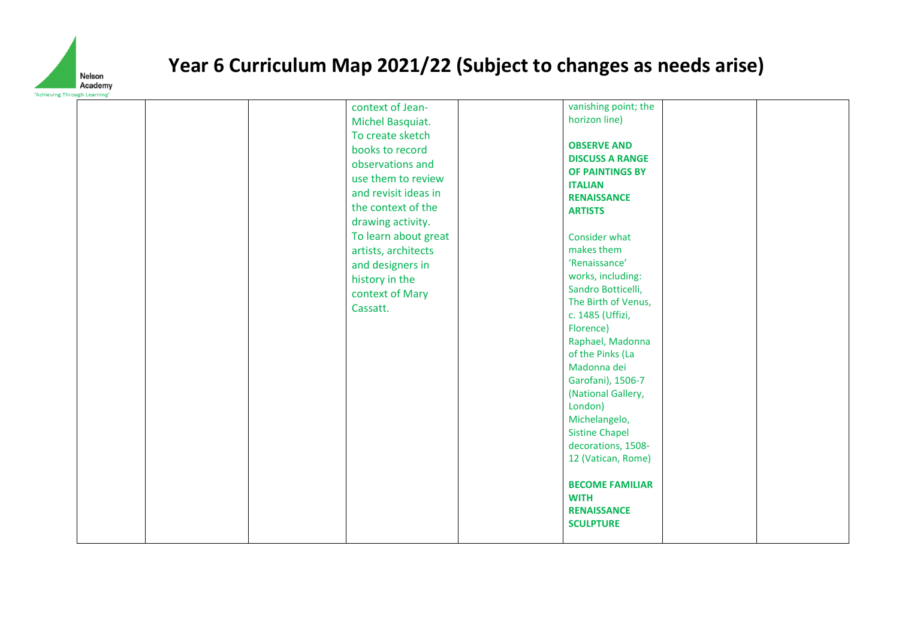

|  | context of Jean-<br>Michel Basquiat.<br>To create sketch<br>books to record<br>observations and<br>use them to review<br>and revisit ideas in<br>the context of the<br>drawing activity.<br>To learn about great<br>artists, architects<br>and designers in<br>history in the<br>context of Mary<br>Cassatt. | vanishing point; the<br>horizon line)<br><b>OBSERVE AND</b><br><b>DISCUSS A RANGE</b><br>OF PAINTINGS BY<br><b>ITALIAN</b><br><b>RENAISSANCE</b><br><b>ARTISTS</b><br>Consider what<br>makes them<br>'Renaissance'<br>works, including:<br>Sandro Botticelli,<br>The Birth of Venus,<br>c. 1485 (Uffizi,<br>Florence)<br>Raphael, Madonna<br>of the Pinks (La<br>Madonna dei<br>Garofani), 1506-7<br>(National Gallery,<br>London)<br>Michelangelo,<br><b>Sistine Chapel</b><br>decorations, 1508- |
|--|--------------------------------------------------------------------------------------------------------------------------------------------------------------------------------------------------------------------------------------------------------------------------------------------------------------|----------------------------------------------------------------------------------------------------------------------------------------------------------------------------------------------------------------------------------------------------------------------------------------------------------------------------------------------------------------------------------------------------------------------------------------------------------------------------------------------------|
|  |                                                                                                                                                                                                                                                                                                              | 12 (Vatican, Rome)                                                                                                                                                                                                                                                                                                                                                                                                                                                                                 |
|  |                                                                                                                                                                                                                                                                                                              | <b>BECOME FAMILIAR</b><br><b>WITH</b><br><b>RENAISSANCE</b><br><b>SCULPTURE</b>                                                                                                                                                                                                                                                                                                                                                                                                                    |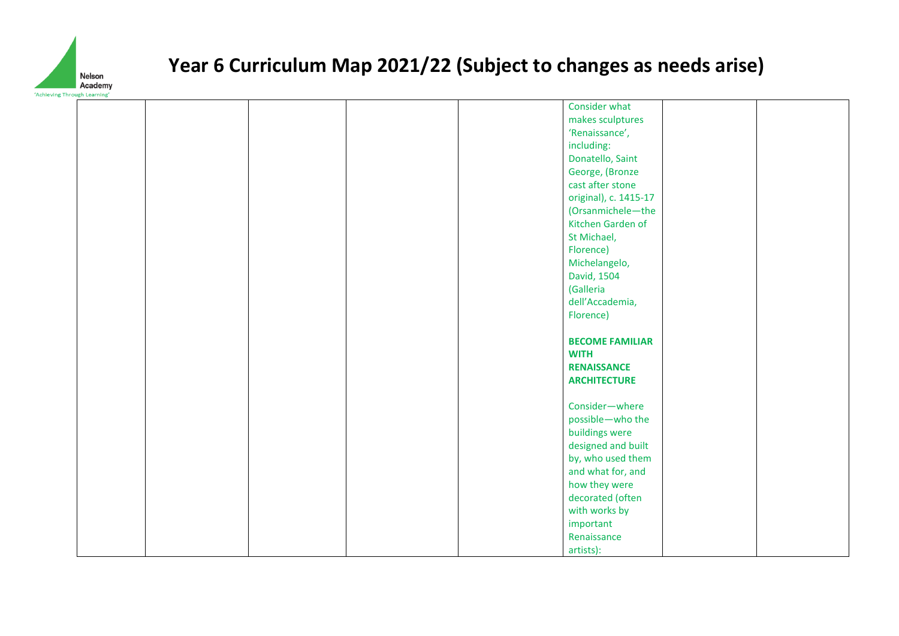

|  |  |  | Consider what            |  |
|--|--|--|--------------------------|--|
|  |  |  |                          |  |
|  |  |  | makes sculptures         |  |
|  |  |  | 'Renaissance',           |  |
|  |  |  | including:               |  |
|  |  |  | Donatello, Saint         |  |
|  |  |  | George, (Bronze          |  |
|  |  |  | cast after stone         |  |
|  |  |  | original), c. 1415-17    |  |
|  |  |  | (Orsanmichele-the        |  |
|  |  |  | Kitchen Garden of        |  |
|  |  |  | St Michael,              |  |
|  |  |  | Florence)                |  |
|  |  |  | Michelangelo,            |  |
|  |  |  | David, 1504              |  |
|  |  |  | (Galleria                |  |
|  |  |  | dell'Accademia,          |  |
|  |  |  |                          |  |
|  |  |  | Florence)                |  |
|  |  |  |                          |  |
|  |  |  | <b>BECOME FAMILIAR</b>   |  |
|  |  |  | <b>WITH</b>              |  |
|  |  |  | <b>RENAISSANCE</b>       |  |
|  |  |  | <b>ARCHITECTURE</b>      |  |
|  |  |  |                          |  |
|  |  |  | Consider-where           |  |
|  |  |  | possible-who the         |  |
|  |  |  | buildings were           |  |
|  |  |  | designed and built       |  |
|  |  |  |                          |  |
|  |  |  | by, who used them        |  |
|  |  |  | and what for, and        |  |
|  |  |  | how they were            |  |
|  |  |  | decorated (often         |  |
|  |  |  |                          |  |
|  |  |  | with works by            |  |
|  |  |  | important                |  |
|  |  |  | Renaissance<br>artists): |  |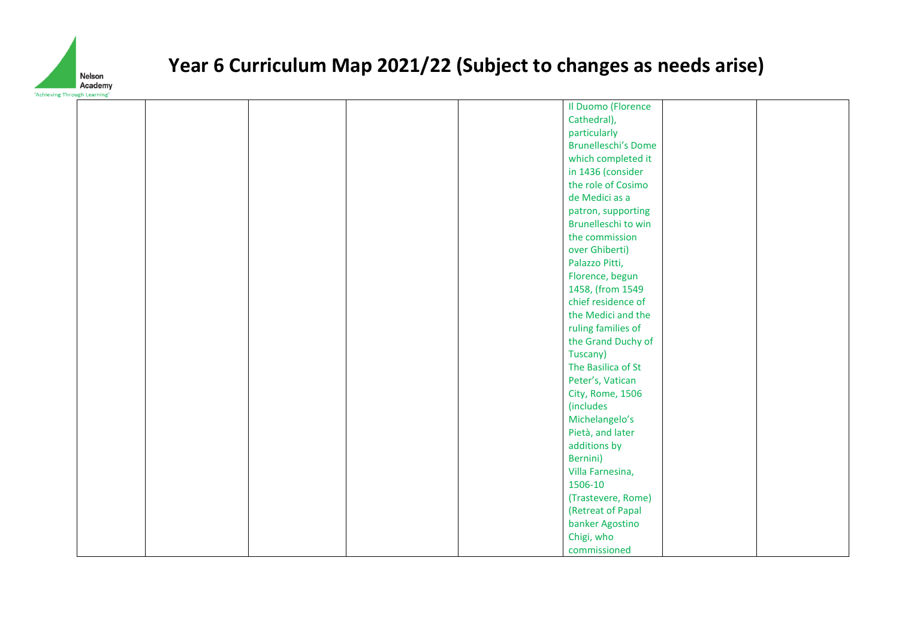

|  |  |  | Il Duomo (Florence         |  |
|--|--|--|----------------------------|--|
|  |  |  | Cathedral),                |  |
|  |  |  | particularly               |  |
|  |  |  | <b>Brunelleschi's Dome</b> |  |
|  |  |  | which completed it         |  |
|  |  |  | in 1436 (consider          |  |
|  |  |  | the role of Cosimo         |  |
|  |  |  | de Medici as a             |  |
|  |  |  | patron, supporting         |  |
|  |  |  | Brunelleschi to win        |  |
|  |  |  | the commission             |  |
|  |  |  | over Ghiberti)             |  |
|  |  |  | Palazzo Pitti,             |  |
|  |  |  | Florence, begun            |  |
|  |  |  | 1458, (from 1549           |  |
|  |  |  | chief residence of         |  |
|  |  |  | the Medici and the         |  |
|  |  |  | ruling families of         |  |
|  |  |  | the Grand Duchy of         |  |
|  |  |  | Tuscany)                   |  |
|  |  |  | The Basilica of St         |  |
|  |  |  |                            |  |
|  |  |  | Peter's, Vatican           |  |
|  |  |  | City, Rome, 1506           |  |
|  |  |  | <i>(includes</i>           |  |
|  |  |  | Michelangelo's             |  |
|  |  |  | Pietà, and later           |  |
|  |  |  | additions by               |  |
|  |  |  | Bernini)                   |  |
|  |  |  | Villa Farnesina,           |  |
|  |  |  | 1506-10                    |  |
|  |  |  | (Trastevere, Rome)         |  |
|  |  |  | (Retreat of Papal          |  |
|  |  |  | banker Agostino            |  |
|  |  |  | Chigi, who                 |  |
|  |  |  | commissioned               |  |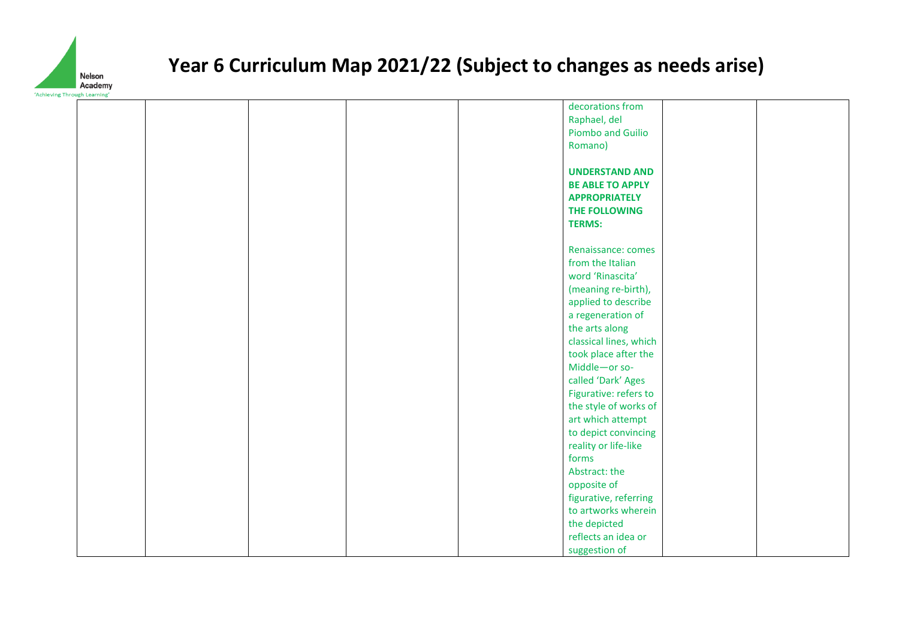

|  |  |  | decorations from        |  |
|--|--|--|-------------------------|--|
|  |  |  | Raphael, del            |  |
|  |  |  | Piombo and Guilio       |  |
|  |  |  | Romano)                 |  |
|  |  |  |                         |  |
|  |  |  | <b>UNDERSTAND AND</b>   |  |
|  |  |  | <b>BE ABLE TO APPLY</b> |  |
|  |  |  | <b>APPROPRIATELY</b>    |  |
|  |  |  | THE FOLLOWING           |  |
|  |  |  | <b>TERMS:</b>           |  |
|  |  |  |                         |  |
|  |  |  | Renaissance: comes      |  |
|  |  |  | from the Italian        |  |
|  |  |  | word 'Rinascita'        |  |
|  |  |  | (meaning re-birth),     |  |
|  |  |  | applied to describe     |  |
|  |  |  | a regeneration of       |  |
|  |  |  | the arts along          |  |
|  |  |  | classical lines, which  |  |
|  |  |  | took place after the    |  |
|  |  |  | Middle-or so-           |  |
|  |  |  | called 'Dark' Ages      |  |
|  |  |  | Figurative: refers to   |  |
|  |  |  | the style of works of   |  |
|  |  |  | art which attempt       |  |
|  |  |  | to depict convincing    |  |
|  |  |  | reality or life-like    |  |
|  |  |  | forms                   |  |
|  |  |  | Abstract: the           |  |
|  |  |  | opposite of             |  |
|  |  |  | figurative, referring   |  |
|  |  |  | to artworks wherein     |  |
|  |  |  | the depicted            |  |
|  |  |  | reflects an idea or     |  |
|  |  |  | suggestion of           |  |
|  |  |  |                         |  |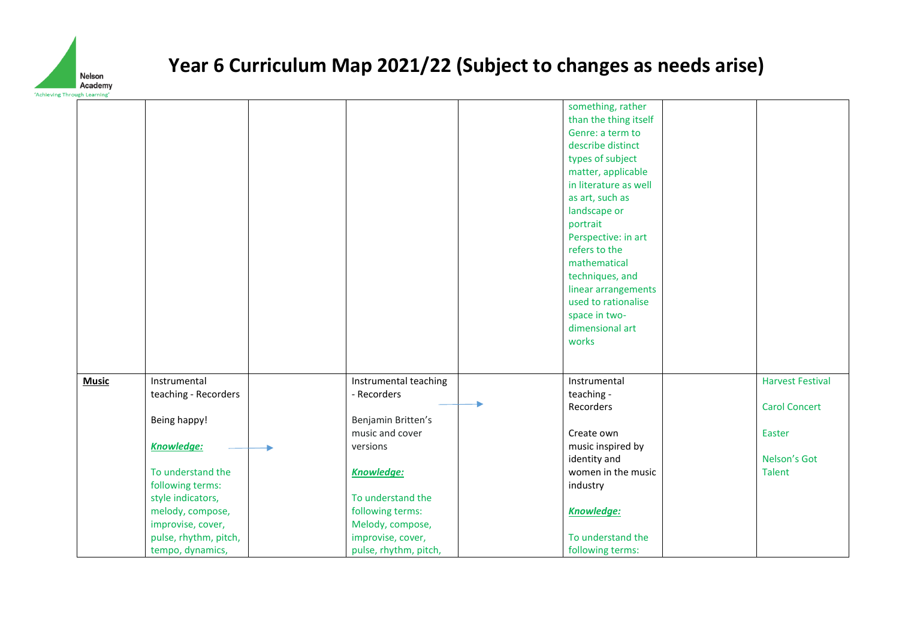

|              |                                                            |                                                           | something, rather<br>than the thing itself<br>Genre: a term to<br>describe distinct<br>types of subject<br>matter, applicable<br>in literature as well<br>as art, such as<br>landscape or<br>portrait<br>Perspective: in art<br>refers to the<br>mathematical<br>techniques, and<br>linear arrangements<br>used to rationalise<br>space in two-<br>dimensional art<br>works |                                |
|--------------|------------------------------------------------------------|-----------------------------------------------------------|-----------------------------------------------------------------------------------------------------------------------------------------------------------------------------------------------------------------------------------------------------------------------------------------------------------------------------------------------------------------------------|--------------------------------|
| <b>Music</b> | Instrumental<br>teaching - Recorders                       | Instrumental teaching<br>- Recorders                      | Instrumental<br>teaching -                                                                                                                                                                                                                                                                                                                                                  | <b>Harvest Festival</b>        |
|              | Being happy!<br><b>Knowledge:</b>                          | Benjamin Britten's<br>music and cover<br>versions         | Recorders<br>Create own<br>music inspired by                                                                                                                                                                                                                                                                                                                                | <b>Carol Concert</b><br>Easter |
|              | To understand the<br>following terms:                      | <b>Knowledge:</b>                                         | identity and<br>women in the music<br>industry                                                                                                                                                                                                                                                                                                                              | Nelson's Got<br>Talent         |
|              | style indicators,<br>melody, compose,<br>improvise, cover, | To understand the<br>following terms:<br>Melody, compose, | <b>Knowledge:</b>                                                                                                                                                                                                                                                                                                                                                           |                                |
|              | pulse, rhythm, pitch,<br>tempo, dynamics,                  | improvise, cover,<br>pulse, rhythm, pitch,                | To understand the<br>following terms:                                                                                                                                                                                                                                                                                                                                       |                                |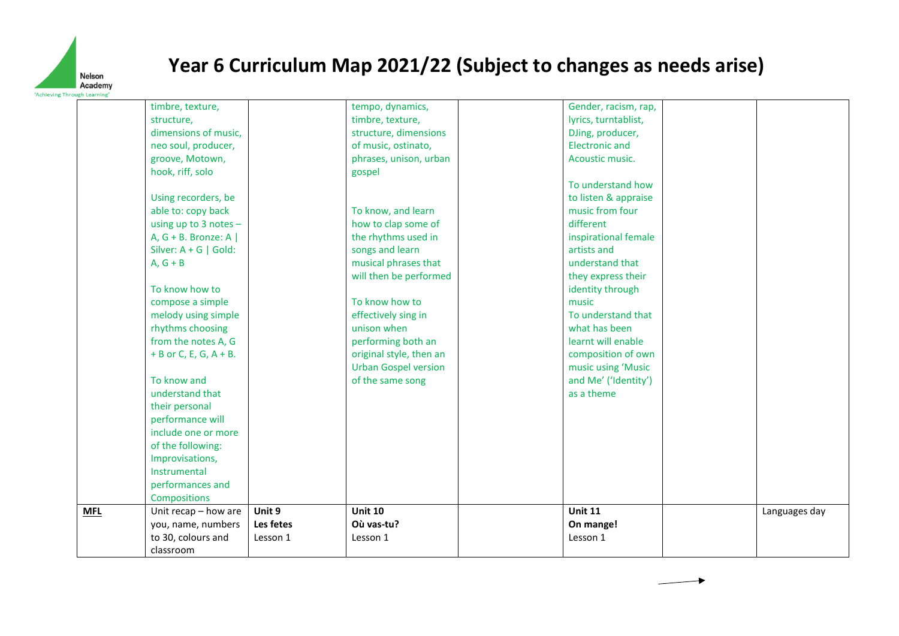

|            | timbre, texture,          |           | tempo, dynamics,            | Gender, racism, rap,  |               |
|------------|---------------------------|-----------|-----------------------------|-----------------------|---------------|
|            | structure,                |           | timbre, texture,            | lyrics, turntablist,  |               |
|            | dimensions of music,      |           |                             |                       |               |
|            |                           |           | structure, dimensions       | DJing, producer,      |               |
|            | neo soul, producer,       |           | of music, ostinato,         | <b>Electronic and</b> |               |
|            | groove, Motown,           |           | phrases, unison, urban      | Acoustic music.       |               |
|            | hook, riff, solo          |           | gospel                      |                       |               |
|            |                           |           |                             | To understand how     |               |
|            | Using recorders, be       |           |                             | to listen & appraise  |               |
|            | able to: copy back        |           | To know, and learn          | music from four       |               |
|            | using up to $3$ notes $-$ |           | how to clap some of         | different             |               |
|            | A, $G + B$ . Bronze: A    |           | the rhythms used in         | inspirational female  |               |
|            | Silver: $A + G$   Gold:   |           | songs and learn             | artists and           |               |
|            | $A, G + B$                |           | musical phrases that        | understand that       |               |
|            |                           |           | will then be performed      | they express their    |               |
|            | To know how to            |           |                             | identity through      |               |
|            | compose a simple          |           | To know how to              | music                 |               |
|            | melody using simple       |           | effectively sing in         | To understand that    |               |
|            | rhythms choosing          |           | unison when                 | what has been         |               |
|            | from the notes A, G       |           | performing both an          | learnt will enable    |               |
|            | $+ B$ or C, E, G, A + B.  |           | original style, then an     | composition of own    |               |
|            |                           |           | <b>Urban Gospel version</b> | music using 'Music    |               |
|            | To know and               |           | of the same song            | and Me' ('Identity')  |               |
|            | understand that           |           |                             | as a theme            |               |
|            | their personal            |           |                             |                       |               |
|            | performance will          |           |                             |                       |               |
|            | include one or more       |           |                             |                       |               |
|            | of the following:         |           |                             |                       |               |
|            | Improvisations,           |           |                             |                       |               |
|            | Instrumental              |           |                             |                       |               |
|            | performances and          |           |                             |                       |               |
|            | <b>Compositions</b>       |           |                             |                       |               |
|            |                           | Unit 9    | <b>Unit 10</b>              | <b>Unit 11</b>        |               |
| <b>MFL</b> | Unit recap - how are      | Les fetes | Où vas-tu?                  |                       | Languages day |
|            | you, name, numbers        |           |                             | On mange!             |               |
|            | to 30, colours and        | Lesson 1  | Lesson 1                    | Lesson 1              |               |
|            | classroom                 |           |                             |                       |               |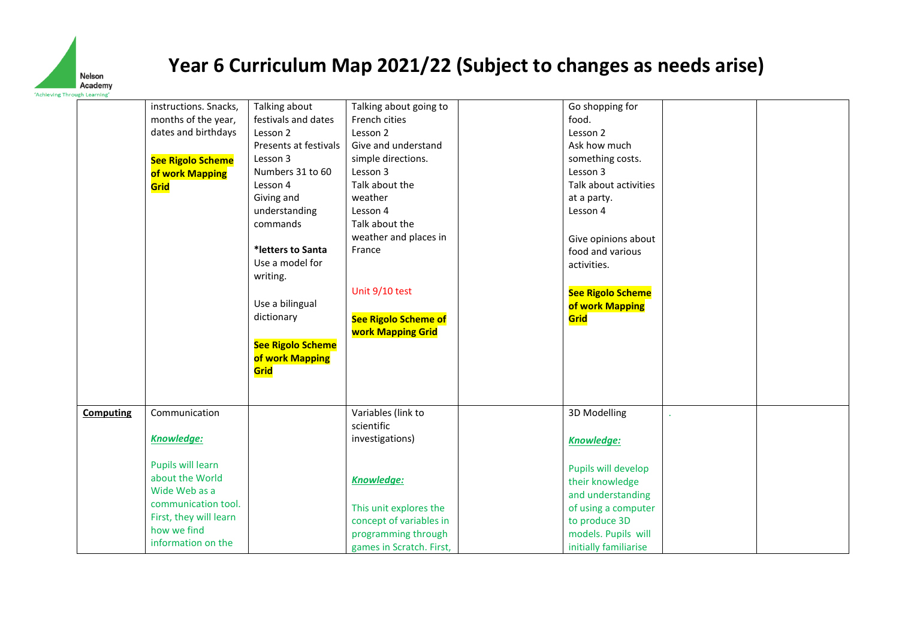

|                  | instructions. Snacks,    | Talking about            | Talking about going to      | Go shopping for          |  |
|------------------|--------------------------|--------------------------|-----------------------------|--------------------------|--|
|                  | months of the year,      | festivals and dates      | French cities               | food.                    |  |
|                  | dates and birthdays      | Lesson 2                 | Lesson 2                    | Lesson 2                 |  |
|                  |                          | Presents at festivals    | Give and understand         | Ask how much             |  |
|                  | <b>See Rigolo Scheme</b> | Lesson 3                 | simple directions.          | something costs.         |  |
|                  | of work Mapping          | Numbers 31 to 60         | Lesson 3                    | Lesson 3                 |  |
|                  | Grid                     | Lesson 4                 | Talk about the              | Talk about activities    |  |
|                  |                          | Giving and               | weather                     | at a party.              |  |
|                  |                          | understanding            | Lesson 4                    | Lesson 4                 |  |
|                  |                          | commands                 | Talk about the              |                          |  |
|                  |                          |                          | weather and places in       | Give opinions about      |  |
|                  |                          | *letters to Santa        | France                      | food and various         |  |
|                  |                          | Use a model for          |                             | activities.              |  |
|                  |                          | writing.                 |                             |                          |  |
|                  |                          |                          | Unit 9/10 test              | <b>See Rigolo Scheme</b> |  |
|                  |                          | Use a bilingual          |                             | of work Mapping          |  |
|                  |                          | dictionary               | <b>See Rigolo Scheme of</b> | Grid                     |  |
|                  |                          |                          | <b>work Mapping Grid</b>    |                          |  |
|                  |                          | <b>See Rigolo Scheme</b> |                             |                          |  |
|                  |                          | of work Mapping          |                             |                          |  |
|                  |                          | Grid                     |                             |                          |  |
|                  |                          |                          |                             |                          |  |
|                  |                          |                          |                             |                          |  |
|                  | Communication            |                          | Variables (link to          | 3D Modelling             |  |
| <b>Computing</b> |                          |                          | scientific                  |                          |  |
|                  | Knowledge:               |                          | investigations)             |                          |  |
|                  |                          |                          |                             | Knowledge:               |  |
|                  | Pupils will learn        |                          |                             |                          |  |
|                  | about the World          |                          |                             | Pupils will develop      |  |
|                  | Wide Web as a            |                          | Knowledge:                  | their knowledge          |  |
|                  | communication tool.      |                          |                             | and understanding        |  |
|                  | First, they will learn   |                          | This unit explores the      | of using a computer      |  |
|                  | how we find              |                          | concept of variables in     | to produce 3D            |  |
|                  | information on the       |                          | programming through         | models. Pupils will      |  |
|                  |                          |                          | games in Scratch. First,    | initially familiarise    |  |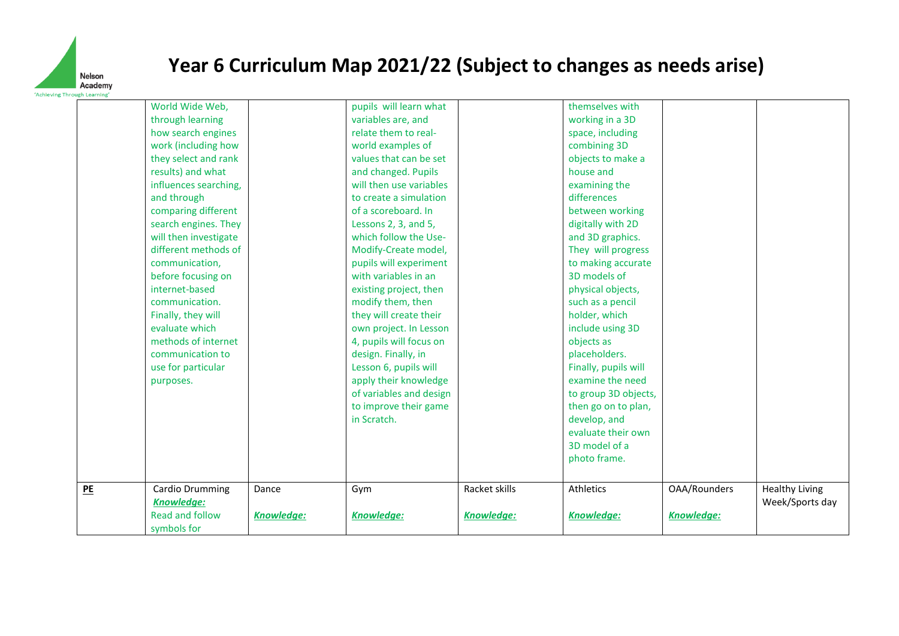

|    | World Wide Web,        |                   | pupils will learn what  |               | themselves with      |                   |                       |
|----|------------------------|-------------------|-------------------------|---------------|----------------------|-------------------|-----------------------|
|    | through learning       |                   | variables are, and      |               | working in a 3D      |                   |                       |
|    | how search engines     |                   | relate them to real-    |               | space, including     |                   |                       |
|    | work (including how    |                   | world examples of       |               | combining 3D         |                   |                       |
|    | they select and rank   |                   | values that can be set  |               | objects to make a    |                   |                       |
|    | results) and what      |                   | and changed. Pupils     |               | house and            |                   |                       |
|    | influences searching,  |                   | will then use variables |               | examining the        |                   |                       |
|    | and through            |                   | to create a simulation  |               | differences          |                   |                       |
|    | comparing different    |                   | of a scoreboard. In     |               | between working      |                   |                       |
|    | search engines. They   |                   | Lessons 2, 3, and 5,    |               | digitally with 2D    |                   |                       |
|    | will then investigate  |                   | which follow the Use-   |               | and 3D graphics.     |                   |                       |
|    | different methods of   |                   | Modify-Create model,    |               | They will progress   |                   |                       |
|    | communication,         |                   | pupils will experiment  |               | to making accurate   |                   |                       |
|    | before focusing on     |                   | with variables in an    |               | 3D models of         |                   |                       |
|    | internet-based         |                   | existing project, then  |               | physical objects,    |                   |                       |
|    | communication.         |                   | modify them, then       |               | such as a pencil     |                   |                       |
|    | Finally, they will     |                   | they will create their  |               | holder, which        |                   |                       |
|    | evaluate which         |                   | own project. In Lesson  |               | include using 3D     |                   |                       |
|    | methods of internet    |                   | 4, pupils will focus on |               | objects as           |                   |                       |
|    | communication to       |                   | design. Finally, in     |               | placeholders.        |                   |                       |
|    | use for particular     |                   | Lesson 6, pupils will   |               | Finally, pupils will |                   |                       |
|    | purposes.              |                   | apply their knowledge   |               | examine the need     |                   |                       |
|    |                        |                   | of variables and design |               | to group 3D objects, |                   |                       |
|    |                        |                   | to improve their game   |               | then go on to plan,  |                   |                       |
|    |                        |                   | in Scratch.             |               | develop, and         |                   |                       |
|    |                        |                   |                         |               | evaluate their own   |                   |                       |
|    |                        |                   |                         |               | 3D model of a        |                   |                       |
|    |                        |                   |                         |               | photo frame.         |                   |                       |
|    |                        |                   |                         |               |                      |                   |                       |
| PE | Cardio Drumming        | Dance             | Gym                     | Racket skills | Athletics            | OAA/Rounders      | <b>Healthy Living</b> |
|    | Knowledge:             |                   |                         |               |                      |                   | Week/Sports day       |
|    | <b>Read and follow</b> | <b>Knowledge:</b> | <b>Knowledge:</b>       | Knowledge:    | <b>Knowledge:</b>    | <b>Knowledge:</b> |                       |
|    | symbols for            |                   |                         |               |                      |                   |                       |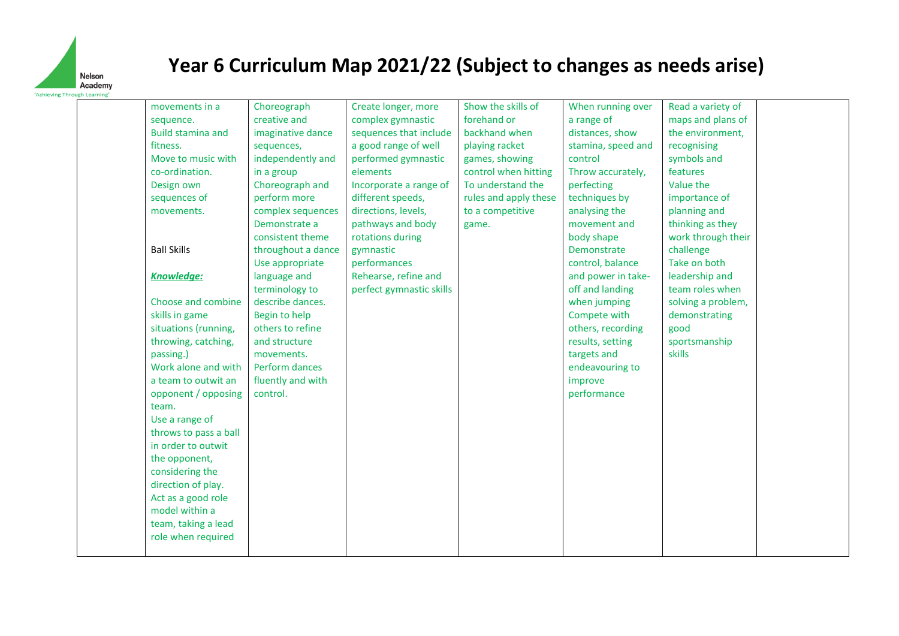

| movements in a           | Choreograph        | Create longer, more      | Show the skills of    | When running over  | Read a variety of  |  |
|--------------------------|--------------------|--------------------------|-----------------------|--------------------|--------------------|--|
| sequence.                | creative and       | complex gymnastic        | forehand or           | a range of         | maps and plans of  |  |
| <b>Build stamina and</b> | imaginative dance  | sequences that include   | backhand when         | distances, show    | the environment,   |  |
| fitness.                 | sequences,         | a good range of well     | playing racket        | stamina, speed and | recognising        |  |
| Move to music with       | independently and  | performed gymnastic      | games, showing        | control            | symbols and        |  |
| co-ordination.           | in a group         | elements                 | control when hitting  | Throw accurately,  | features           |  |
| Design own               | Choreograph and    | Incorporate a range of   | To understand the     | perfecting         | Value the          |  |
| sequences of             | perform more       | different speeds,        | rules and apply these | techniques by      | importance of      |  |
| movements.               | complex sequences  | directions, levels,      | to a competitive      | analysing the      | planning and       |  |
|                          | Demonstrate a      | pathways and body        | game.                 | movement and       | thinking as they   |  |
|                          | consistent theme   | rotations during         |                       | body shape         | work through their |  |
| <b>Ball Skills</b>       | throughout a dance | gymnastic                |                       | Demonstrate        | challenge          |  |
|                          | Use appropriate    | performances             |                       | control, balance   | Take on both       |  |
| <b>Knowledge:</b>        | language and       | Rehearse, refine and     |                       | and power in take- | leadership and     |  |
|                          | terminology to     | perfect gymnastic skills |                       | off and landing    | team roles when    |  |
| Choose and combine       | describe dances.   |                          |                       | when jumping       | solving a problem, |  |
| skills in game           | Begin to help      |                          |                       | Compete with       | demonstrating      |  |
| situations (running,     | others to refine   |                          |                       | others, recording  | good               |  |
| throwing, catching,      | and structure      |                          |                       | results, setting   | sportsmanship      |  |
| passing.)                | movements.         |                          |                       | targets and        | skills             |  |
| Work alone and with      | Perform dances     |                          |                       | endeavouring to    |                    |  |
| a team to outwit an      | fluently and with  |                          |                       | improve            |                    |  |
| opponent / opposing      | control.           |                          |                       | performance        |                    |  |
| team.                    |                    |                          |                       |                    |                    |  |
| Use a range of           |                    |                          |                       |                    |                    |  |
| throws to pass a ball    |                    |                          |                       |                    |                    |  |
| in order to outwit       |                    |                          |                       |                    |                    |  |
| the opponent,            |                    |                          |                       |                    |                    |  |
| considering the          |                    |                          |                       |                    |                    |  |
| direction of play.       |                    |                          |                       |                    |                    |  |
| Act as a good role       |                    |                          |                       |                    |                    |  |
| model within a           |                    |                          |                       |                    |                    |  |
| team, taking a lead      |                    |                          |                       |                    |                    |  |
| role when required       |                    |                          |                       |                    |                    |  |
|                          |                    |                          |                       |                    |                    |  |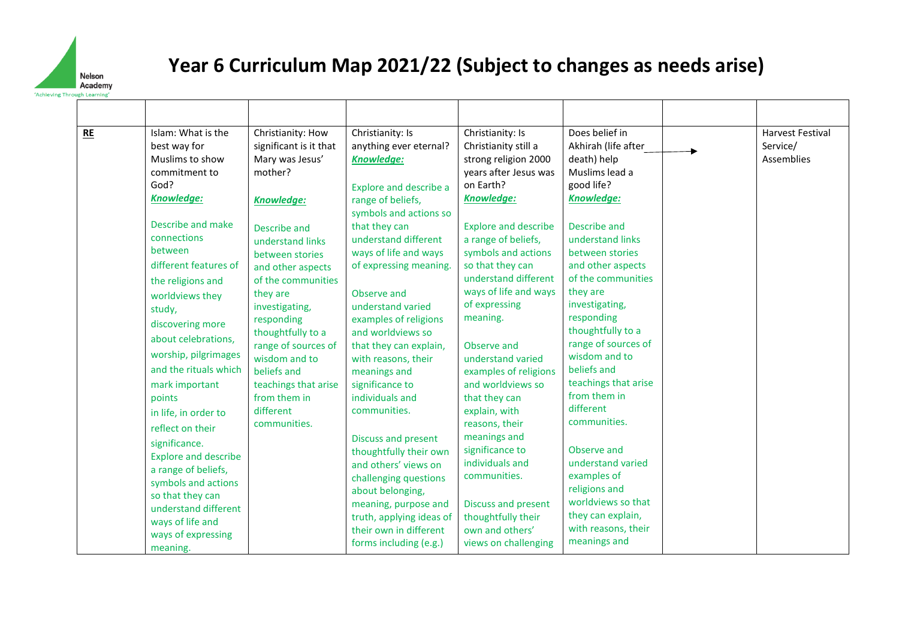

| RE | Islam: What is the<br>best way for<br>Muslims to show<br>commitment to<br>God?<br>Knowledge:<br>Describe and make<br>connections<br>between<br>different features of<br>the religions and<br>worldviews they<br>study,<br>discovering more<br>about celebrations,<br>worship, pilgrimages<br>and the rituals which<br>mark important<br>points<br>in life, in order to<br>reflect on their<br>significance.<br><b>Explore and describe</b><br>a range of beliefs,<br>symbols and actions<br>so that they can<br>understand different<br>ways of life and<br>ways of expressing<br>meaning. | Christianity: How<br>significant is it that<br>Mary was Jesus'<br>mother?<br>Knowledge:<br>Describe and<br>understand links<br>between stories<br>and other aspects<br>of the communities<br>they are<br>investigating,<br>responding<br>thoughtfully to a<br>range of sources of<br>wisdom and to<br>beliefs and<br>teachings that arise<br>from them in<br>different<br>communities. | Christianity: Is<br>anything ever eternal?<br><b>Knowledge:</b><br><b>Explore and describe a</b><br>range of beliefs,<br>symbols and actions so<br>that they can<br>understand different<br>ways of life and ways<br>of expressing meaning.<br>Observe and<br>understand varied<br>examples of religions<br>and worldviews so<br>that they can explain,<br>with reasons, their<br>meanings and<br>significance to<br>individuals and<br>communities.<br>Discuss and present<br>thoughtfully their own<br>and others' views on<br>challenging questions<br>about belonging,<br>meaning, purpose and<br>truth, applying ideas of<br>their own in different<br>forms including (e.g.) | Christianity: Is<br>Christianity still a<br>strong religion 2000<br>years after Jesus was<br>on Earth?<br><b>Knowledge:</b><br><b>Explore and describe</b><br>a range of beliefs,<br>symbols and actions<br>so that they can<br>understand different<br>ways of life and ways<br>of expressing<br>meaning.<br>Observe and<br>understand varied<br>examples of religions<br>and worldviews so<br>that they can<br>explain, with<br>reasons, their<br>meanings and<br>significance to<br>individuals and<br>communities.<br>Discuss and present<br>thoughtfully their<br>own and others'<br>views on challenging | Does belief in<br>Akhirah (life after<br>death) help<br>Muslims lead a<br>good life?<br><b>Knowledge:</b><br>Describe and<br>understand links<br>between stories<br>and other aspects<br>of the communities<br>they are<br>investigating,<br>responding<br>thoughtfully to a<br>range of sources of<br>wisdom and to<br>beliefs and<br>teachings that arise<br>from them in<br>different<br>communities.<br>Observe and<br>understand varied<br>examples of<br>religions and<br>worldviews so that<br>they can explain,<br>with reasons, their<br>meanings and | <b>Harvest Festival</b><br>Service/<br>Assemblies |
|----|--------------------------------------------------------------------------------------------------------------------------------------------------------------------------------------------------------------------------------------------------------------------------------------------------------------------------------------------------------------------------------------------------------------------------------------------------------------------------------------------------------------------------------------------------------------------------------------------|----------------------------------------------------------------------------------------------------------------------------------------------------------------------------------------------------------------------------------------------------------------------------------------------------------------------------------------------------------------------------------------|------------------------------------------------------------------------------------------------------------------------------------------------------------------------------------------------------------------------------------------------------------------------------------------------------------------------------------------------------------------------------------------------------------------------------------------------------------------------------------------------------------------------------------------------------------------------------------------------------------------------------------------------------------------------------------|----------------------------------------------------------------------------------------------------------------------------------------------------------------------------------------------------------------------------------------------------------------------------------------------------------------------------------------------------------------------------------------------------------------------------------------------------------------------------------------------------------------------------------------------------------------------------------------------------------------|----------------------------------------------------------------------------------------------------------------------------------------------------------------------------------------------------------------------------------------------------------------------------------------------------------------------------------------------------------------------------------------------------------------------------------------------------------------------------------------------------------------------------------------------------------------|---------------------------------------------------|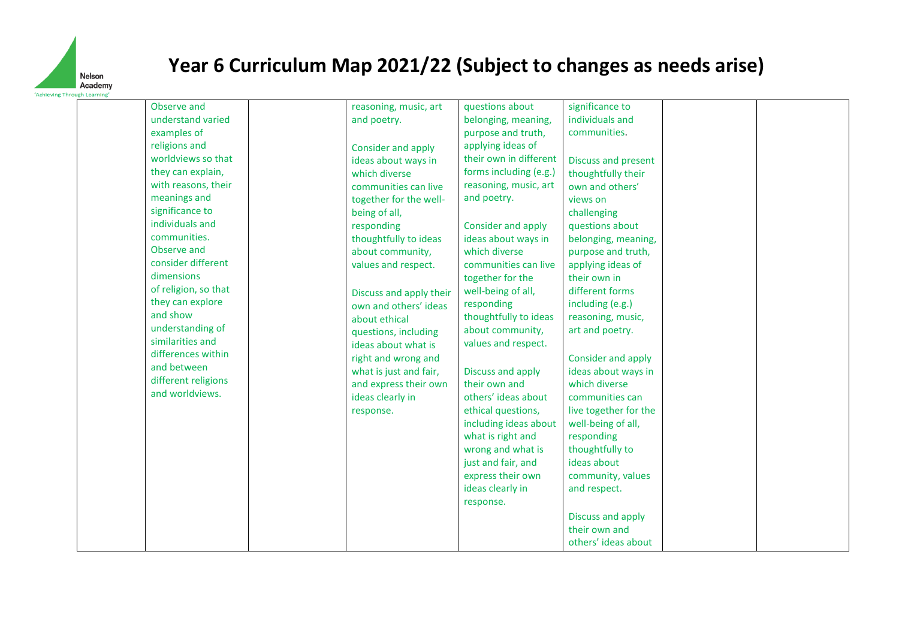

| Observe and          | reasoning, music, art   | questions about        | significance to       |  |
|----------------------|-------------------------|------------------------|-----------------------|--|
| understand varied    | and poetry.             | belonging, meaning,    | individuals and       |  |
| examples of          |                         | purpose and truth,     | communities.          |  |
| religions and        | Consider and apply      | applying ideas of      |                       |  |
| worldviews so that   | ideas about ways in     | their own in different | Discuss and present   |  |
| they can explain,    | which diverse           | forms including (e.g.) | thoughtfully their    |  |
| with reasons, their  | communities can live    | reasoning, music, art  | own and others'       |  |
| meanings and         | together for the well-  | and poetry.            | views on              |  |
| significance to      | being of all,           |                        | challenging           |  |
| individuals and      | responding              | Consider and apply     | questions about       |  |
| communities.         | thoughtfully to ideas   | ideas about ways in    | belonging, meaning,   |  |
| Observe and          | about community,        | which diverse          | purpose and truth,    |  |
| consider different   | values and respect.     | communities can live   | applying ideas of     |  |
| dimensions           |                         | together for the       | their own in          |  |
| of religion, so that | Discuss and apply their | well-being of all,     | different forms       |  |
| they can explore     | own and others' ideas   | responding             | including (e.g.)      |  |
| and show             | about ethical           | thoughtfully to ideas  | reasoning, music,     |  |
| understanding of     | questions, including    | about community,       | art and poetry.       |  |
| similarities and     | ideas about what is     | values and respect.    |                       |  |
| differences within   | right and wrong and     |                        | Consider and apply    |  |
| and between          | what is just and fair,  | Discuss and apply      | ideas about ways in   |  |
| different religions  | and express their own   | their own and          | which diverse         |  |
| and worldviews.      | ideas clearly in        | others' ideas about    | communities can       |  |
|                      | response.               | ethical questions,     | live together for the |  |
|                      |                         | including ideas about  | well-being of all,    |  |
|                      |                         | what is right and      | responding            |  |
|                      |                         | wrong and what is      | thoughtfully to       |  |
|                      |                         | just and fair, and     | ideas about           |  |
|                      |                         | express their own      | community, values     |  |
|                      |                         | ideas clearly in       | and respect.          |  |
|                      |                         | response.              |                       |  |
|                      |                         |                        | Discuss and apply     |  |
|                      |                         |                        | their own and         |  |
|                      |                         |                        | others' ideas about   |  |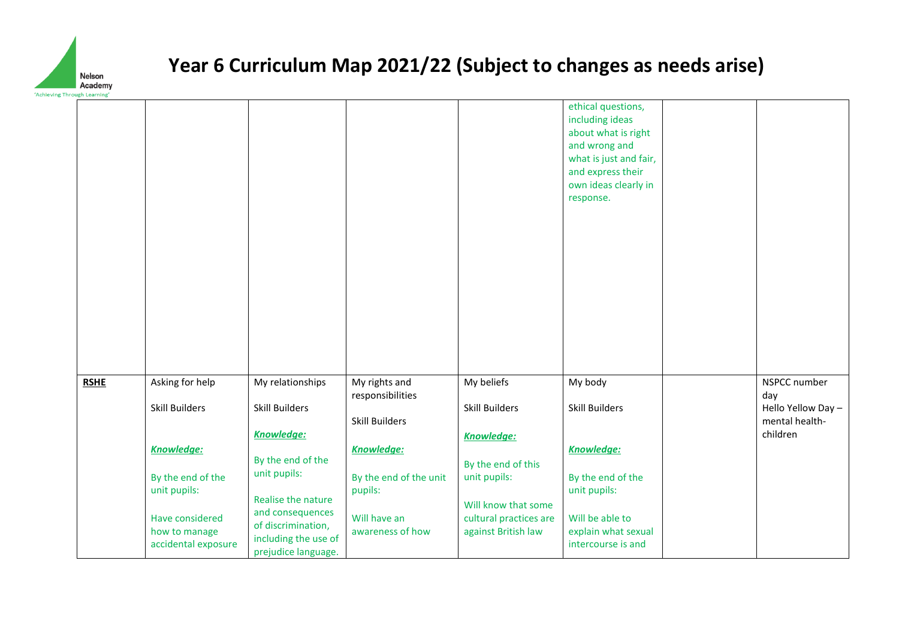

| , mi ough Learning |                                  |                                             |                                   |                                               |                                                                                                                                                                   |                            |
|--------------------|----------------------------------|---------------------------------------------|-----------------------------------|-----------------------------------------------|-------------------------------------------------------------------------------------------------------------------------------------------------------------------|----------------------------|
|                    |                                  |                                             |                                   |                                               | ethical questions,<br>including ideas<br>about what is right<br>and wrong and<br>what is just and fair,<br>and express their<br>own ideas clearly in<br>response. |                            |
| <b>RSHE</b>        | Asking for help                  | My relationships                            | My rights and<br>responsibilities | My beliefs                                    | My body                                                                                                                                                           | NSPCC number<br>day        |
|                    | <b>Skill Builders</b>            | <b>Skill Builders</b>                       |                                   | Skill Builders                                | Skill Builders                                                                                                                                                    | Hello Yellow Day -         |
|                    |                                  | Knowledge:                                  | <b>Skill Builders</b>             | <b>Knowledge:</b>                             |                                                                                                                                                                   | mental health-<br>children |
|                    | <b>Knowledge:</b>                |                                             | <b>Knowledge:</b>                 |                                               | <b>Knowledge:</b>                                                                                                                                                 |                            |
|                    | By the end of the                | By the end of the<br>unit pupils:           | By the end of the unit            | By the end of this<br>unit pupils:            | By the end of the                                                                                                                                                 |                            |
|                    | unit pupils:                     |                                             | pupils:                           |                                               | unit pupils:                                                                                                                                                      |                            |
|                    |                                  | Realise the nature<br>and consequences      |                                   | Will know that some                           |                                                                                                                                                                   |                            |
|                    | Have considered<br>how to manage | of discrimination,                          | Will have an<br>awareness of how  | cultural practices are<br>against British law | Will be able to<br>explain what sexual                                                                                                                            |                            |
|                    | accidental exposure              | including the use of<br>prejudice language. |                                   |                                               | intercourse is and                                                                                                                                                |                            |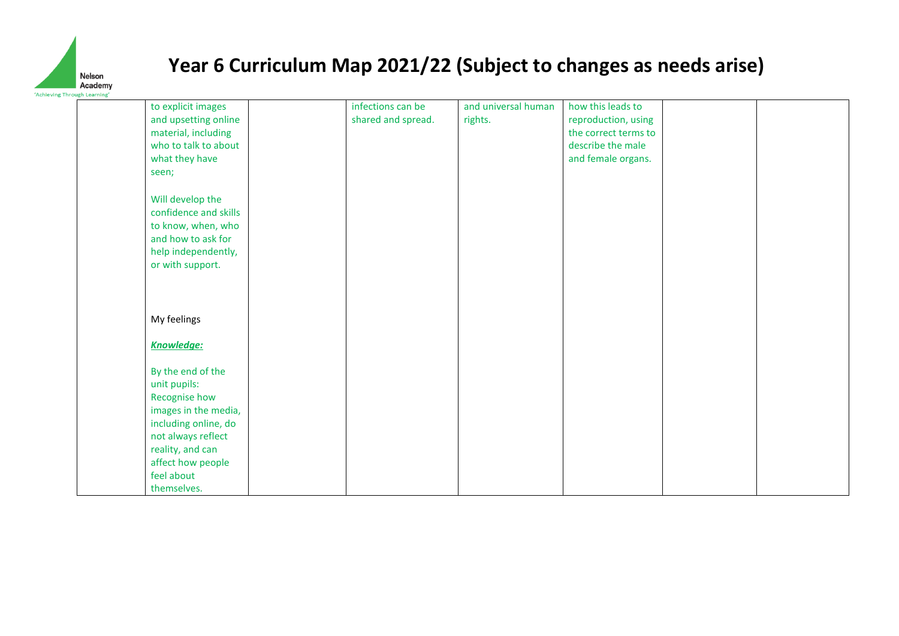

| to explicit images    | infections can be  | and universal human | how this leads to    |  |
|-----------------------|--------------------|---------------------|----------------------|--|
| and upsetting online  | shared and spread. | rights.             | reproduction, using  |  |
| material, including   |                    |                     | the correct terms to |  |
| who to talk to about  |                    |                     | describe the male    |  |
| what they have        |                    |                     | and female organs.   |  |
| seen;                 |                    |                     |                      |  |
| Will develop the      |                    |                     |                      |  |
| confidence and skills |                    |                     |                      |  |
| to know, when, who    |                    |                     |                      |  |
| and how to ask for    |                    |                     |                      |  |
| help independently,   |                    |                     |                      |  |
| or with support.      |                    |                     |                      |  |
|                       |                    |                     |                      |  |
|                       |                    |                     |                      |  |
|                       |                    |                     |                      |  |
| My feelings           |                    |                     |                      |  |
| <b>Knowledge:</b>     |                    |                     |                      |  |
|                       |                    |                     |                      |  |
| By the end of the     |                    |                     |                      |  |
| unit pupils:          |                    |                     |                      |  |
| Recognise how         |                    |                     |                      |  |
| images in the media,  |                    |                     |                      |  |
| including online, do  |                    |                     |                      |  |
| not always reflect    |                    |                     |                      |  |
| reality, and can      |                    |                     |                      |  |
| affect how people     |                    |                     |                      |  |
| feel about            |                    |                     |                      |  |
| themselves.           |                    |                     |                      |  |